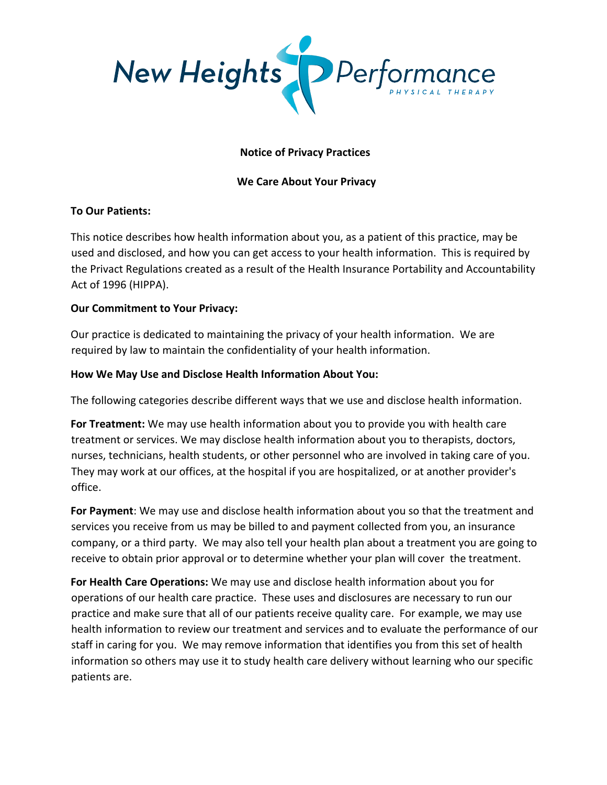

# **Notice of Privacy Practices**

# **We Care About Your Privacy**

#### **To Our Patients:**

This notice describes how health information about you, as a patient of this practice, may be used and disclosed, and how you can get access to your health information. This is required by the Privact Regulations created as a result of the Health Insurance Portability and Accountability Act of 1996 (HIPPA).

### **Our Commitment to Your Privacy:**

Our practice is dedicated to maintaining the privacy of your health information. We are required by law to maintain the confidentiality of your health information.

#### **How We May Use and Disclose Health Information About You:**

The following categories describe different ways that we use and disclose health information.

**For Treatment:** We may use health information about you to provide you with health care treatment or services. We may disclose health information about you to therapists, doctors, nurses, technicians, health students, or other personnel who are involved in taking care of you. They may work at our offices, at the hospital if you are hospitalized, or at another provider's office.

**For Payment**: We may use and disclose health information about you so that the treatment and services you receive from us may be billed to and payment collected from you, an insurance company, or a third party. We may also tell your health plan about a treatment you are going to receive to obtain prior approval or to determine whether your plan will cover the treatment.

**For Health Care Operations:** We may use and disclose health information about you for operations of our health care practice. These uses and disclosures are necessary to run our practice and make sure that all of our patients receive quality care. For example, we may use health information to review our treatment and services and to evaluate the performance of our staff in caring for you. We may remove information that identifies you from this set of health information so others may use it to study health care delivery without learning who our specific patients are.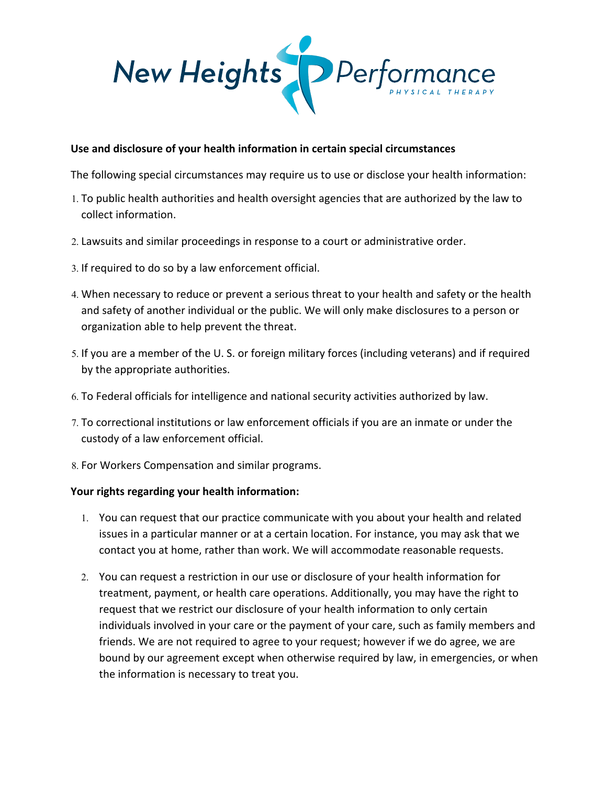

### **Use and disclosure of your health information in certain special circumstances**

The following special circumstances may require us to use or disclose your health information:

- 1. To public health authorities and health oversight agencies that are authorized by the law to collect information.
- 2. Lawsuits and similar proceedings in response to a court or administrative order.
- 3. If required to do so by a law enforcement official.
- 4. When necessary to reduce or prevent a serious threat to your health and safety or the health and safety of another individual or the public. We will only make disclosures to a person or organization able to help prevent the threat.
- 5. If you are a member of the U. S. or foreign military forces (including veterans) and if required by the appropriate authorities.
- 6. To Federal officials for intelligence and national security activities authorized by law.
- 7. To correctional institutions or law enforcement officials if you are an inmate or under the custody of a law enforcement official.
- 8. For Workers Compensation and similar programs.

#### **Your rights regarding your health information:**

- 1. You can request that our practice communicate with you about your health and related issues in a particular manner or at a certain location. For instance, you may ask that we contact you at home, rather than work. We will accommodate reasonable requests.
- 2. You can request a restriction in our use or disclosure of your health information for treatment, payment, or health care operations. Additionally, you may have the right to request that we restrict our disclosure of your health information to only certain individuals involved in your care or the payment of your care, such as family members and friends. We are not required to agree to your request; however if we do agree, we are bound by our agreement except when otherwise required by law, in emergencies, or when the information is necessary to treat you.